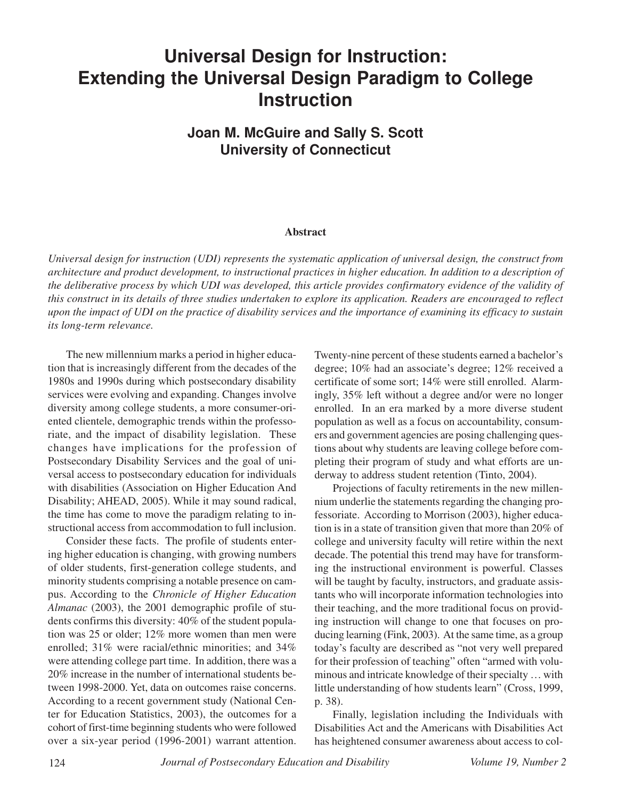# **Universal Design for Instruction: Extending the Universal Design Paradigm to College Instruction**

**Joan M. McGuire and Sally S. Scott University of Connecticut**

#### **Abstract**

*Universal design for instruction (UDI) represents the systematic application of universal design, the construct from architecture and product development, to instructional practices in higher education. In addition to a description of the deliberative process by which UDI was developed, this article provides confirmatory evidence of the validity of this construct in its details of three studies undertaken to explore its application. Readers are encouraged to reflect upon the impact of UDI on the practice of disability services and the importance of examining its efficacy to sustain its long-term relevance.*

The new millennium marks a period in higher education that is increasingly different from the decades of the 1980s and 1990s during which postsecondary disability services were evolving and expanding. Changes involve diversity among college students, a more consumer-oriented clientele, demographic trends within the professoriate, and the impact of disability legislation. These changes have implications for the profession of Postsecondary Disability Services and the goal of universal access to postsecondary education for individuals with disabilities (Association on Higher Education And Disability; AHEAD, 2005). While it may sound radical, the time has come to move the paradigm relating to instructional access from accommodation to full inclusion.

Consider these facts. The profile of students entering higher education is changing, with growing numbers of older students, first-generation college students, and minority students comprising a notable presence on campus. According to the *Chronicle of Higher Education Almanac* (2003), the 2001 demographic profile of students confirms this diversity: 40% of the student population was 25 or older; 12% more women than men were enrolled; 31% were racial/ethnic minorities; and 34% were attending college part time. In addition, there was a 20% increase in the number of international students between 1998-2000. Yet, data on outcomes raise concerns. According to a recent government study (National Center for Education Statistics, 2003), the outcomes for a cohort of first-time beginning students who were followed over a six-year period (1996-2001) warrant attention.

Twenty-nine percent of these students earned a bachelor's degree; 10% had an associate's degree; 12% received a certificate of some sort; 14% were still enrolled. Alarmingly, 35% left without a degree and/or were no longer enrolled. In an era marked by a more diverse student population as well as a focus on accountability, consumers and government agencies are posing challenging questions about why students are leaving college before completing their program of study and what efforts are underway to address student retention (Tinto, 2004).

Projections of faculty retirements in the new millennium underlie the statements regarding the changing professoriate. According to Morrison (2003), higher education is in a state of transition given that more than 20% of college and university faculty will retire within the next decade. The potential this trend may have for transforming the instructional environment is powerful. Classes will be taught by faculty, instructors, and graduate assistants who will incorporate information technologies into their teaching, and the more traditional focus on providing instruction will change to one that focuses on producing learning (Fink, 2003). At the same time, as a group today's faculty are described as "not very well prepared for their profession of teaching" often "armed with voluminous and intricate knowledge of their specialty … with little understanding of how students learn" (Cross, 1999, p. 38).

Finally, legislation including the Individuals with Disabilities Act and the Americans with Disabilities Act has heightened consumer awareness about access to col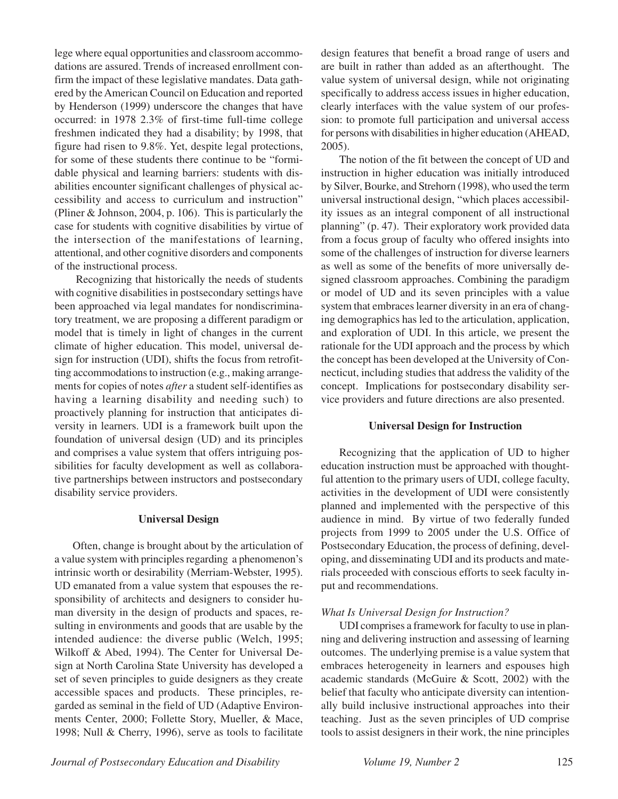lege where equal opportunities and classroom accommodations are assured. Trends of increased enrollment confirm the impact of these legislative mandates. Data gathered by the American Council on Education and reported by Henderson (1999) underscore the changes that have occurred: in 1978 2.3% of first-time full-time college freshmen indicated they had a disability; by 1998, that figure had risen to 9.8%. Yet, despite legal protections, for some of these students there continue to be "formidable physical and learning barriers: students with disabilities encounter significant challenges of physical accessibility and access to curriculum and instruction" (Pliner & Johnson, 2004, p. 106). This is particularly the case for students with cognitive disabilities by virtue of the intersection of the manifestations of learning, attentional, and other cognitive disorders and components of the instructional process.

 Recognizing that historically the needs of students with cognitive disabilities in postsecondary settings have been approached via legal mandates for nondiscriminatory treatment, we are proposing a different paradigm or model that is timely in light of changes in the current climate of higher education. This model, universal design for instruction (UDI), shifts the focus from retrofitting accommodations to instruction (e.g., making arrangements for copies of notes *after* a student self-identifies as having a learning disability and needing such) to proactively planning for instruction that anticipates diversity in learners. UDI is a framework built upon the foundation of universal design (UD) and its principles and comprises a value system that offers intriguing possibilities for faculty development as well as collaborative partnerships between instructors and postsecondary disability service providers.

## **Universal Design**

Often, change is brought about by the articulation of a value system with principles regarding a phenomenon's intrinsic worth or desirability (Merriam-Webster, 1995). UD emanated from a value system that espouses the responsibility of architects and designers to consider human diversity in the design of products and spaces, resulting in environments and goods that are usable by the intended audience: the diverse public (Welch, 1995; Wilkoff & Abed, 1994). The Center for Universal Design at North Carolina State University has developed a set of seven principles to guide designers as they create accessible spaces and products. These principles, regarded as seminal in the field of UD (Adaptive Environments Center, 2000; Follette Story, Mueller, & Mace, 1998; Null & Cherry, 1996), serve as tools to facilitate

design features that benefit a broad range of users and are built in rather than added as an afterthought. The value system of universal design, while not originating specifically to address access issues in higher education, clearly interfaces with the value system of our profession: to promote full participation and universal access for persons with disabilities in higher education (AHEAD, 2005).

The notion of the fit between the concept of UD and instruction in higher education was initially introduced by Silver, Bourke, and Strehorn (1998), who used the term universal instructional design, "which places accessibility issues as an integral component of all instructional planning" (p. 47). Their exploratory work provided data from a focus group of faculty who offered insights into some of the challenges of instruction for diverse learners as well as some of the benefits of more universally designed classroom approaches. Combining the paradigm or model of UD and its seven principles with a value system that embraces learner diversity in an era of changing demographics has led to the articulation, application, and exploration of UDI. In this article, we present the rationale for the UDI approach and the process by which the concept has been developed at the University of Connecticut, including studies that address the validity of the concept. Implications for postsecondary disability service providers and future directions are also presented.

## **Universal Design for Instruction**

Recognizing that the application of UD to higher education instruction must be approached with thoughtful attention to the primary users of UDI, college faculty, activities in the development of UDI were consistently planned and implemented with the perspective of this audience in mind. By virtue of two federally funded projects from 1999 to 2005 under the U.S. Office of Postsecondary Education, the process of defining, developing, and disseminating UDI and its products and materials proceeded with conscious efforts to seek faculty input and recommendations.

## *What Is Universal Design for Instruction?*

UDI comprises a framework for faculty to use in planning and delivering instruction and assessing of learning outcomes. The underlying premise is a value system that embraces heterogeneity in learners and espouses high academic standards (McGuire & Scott, 2002) with the belief that faculty who anticipate diversity can intentionally build inclusive instructional approaches into their teaching. Just as the seven principles of UD comprise tools to assist designers in their work, the nine principles

*Journal of Postsecondary Education and Disability Volume 19, Number 2* 125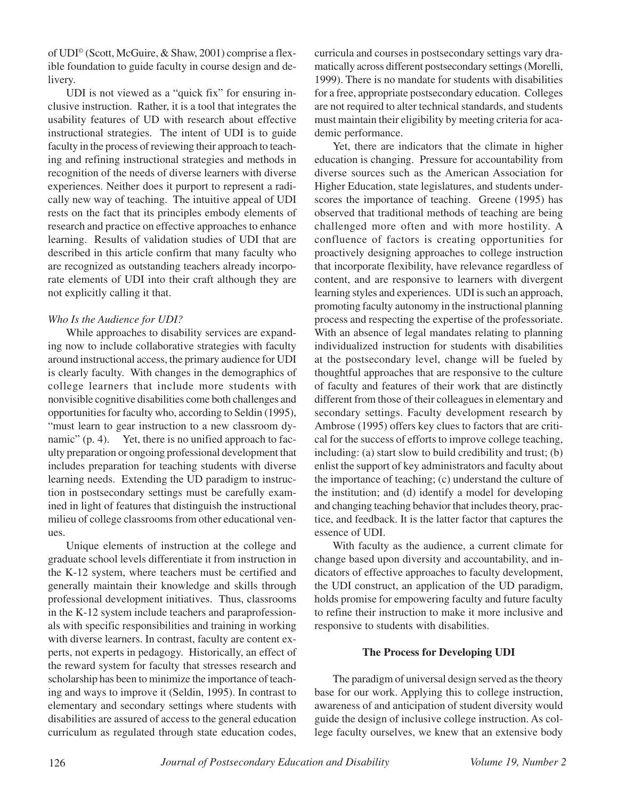of UDI© (Scott, McGuire, & Shaw, 2001) comprise a flexible foundation to guide faculty in course design and delivery.

UDI is not viewed as a "quick fix" for ensuring inclusive instruction. Rather, it is a tool that integrates the usability features of UD with research about effective instructional strategies. The intent of UDI is to guide faculty in the process of reviewing their approach to teaching and refining instructional strategies and methods in recognition of the needs of diverse learners with diverse experiences. Neither does it purport to represent a radically new way of teaching. The intuitive appeal of UDI rests on the fact that its principles embody elements of research and practice on effective approaches to enhance learning. Results of validation studies of UDI that are described in this article confirm that many faculty who are recognized as outstanding teachers already incorporate elements of UDI into their craft although they are not explicitly calling it that.

## *Who Is the Audience for UDI?*

While approaches to disability services are expanding now to include collaborative strategies with faculty around instructional access, the primary audience for UDI is clearly faculty. With changes in the demographics of college learners that include more students with nonvisible cognitive disabilities come both challenges and opportunities for faculty who, according to Seldin (1995), "must learn to gear instruction to a new classroom dynamic" (p. 4). Yet, there is no unified approach to faculty preparation or ongoing professional development that includes preparation for teaching students with diverse learning needs. Extending the UD paradigm to instruction in postsecondary settings must be carefully examined in light of features that distinguish the instructional milieu of college classrooms from other educational venues.

Unique elements of instruction at the college and graduate school levels differentiate it from instruction in the K-12 system, where teachers must be certified and generally maintain their knowledge and skills through professional development initiatives. Thus, classrooms in the K-12 system include teachers and paraprofessionals with specific responsibilities and training in working with diverse learners. In contrast, faculty are content experts, not experts in pedagogy. Historically, an effect of the reward system for faculty that stresses research and scholarship has been to minimize the importance of teaching and ways to improve it (Seldin, 1995). In contrast to elementary and secondary settings where students with disabilities are assured of access to the general education curriculum as regulated through state education codes,

curricula and courses in postsecondary settings vary dramatically across different postsecondary settings (Morelli, 1999). There is no mandate for students with disabilities for a free, appropriate postsecondary education. Colleges are not required to alter technical standards, and students must maintain their eligibility by meeting criteria for academic performance.

Yet, there are indicators that the climate in higher education is changing. Pressure for accountability from diverse sources such as the American Association for Higher Education, state legislatures, and students underscores the importance of teaching. Greene (1995) has observed that traditional methods of teaching are being challenged more often and with more hostility. A confluence of factors is creating opportunities for proactively designing approaches to college instruction that incorporate flexibility, have relevance regardless of content, and are responsive to learners with divergent learning styles and experiences. UDI is such an approach, promoting faculty autonomy in the instructional planning process and respecting the expertise of the professoriate. With an absence of legal mandates relating to planning individualized instruction for students with disabilities at the postsecondary level, change will be fueled by thoughtful approaches that are responsive to the culture of faculty and features of their work that are distinctly different from those of their colleagues in elementary and secondary settings. Faculty development research by Ambrose (1995) offers key clues to factors that are critical for the success of efforts to improve college teaching, including: (a) start slow to build credibility and trust; (b) enlist the support of key administrators and faculty about the importance of teaching; (c) understand the culture of the institution; and (d) identify a model for developing and changing teaching behavior that includes theory, practice, and feedback. It is the latter factor that captures the essence of UDI.

With faculty as the audience, a current climate for change based upon diversity and accountability, and indicators of effective approaches to faculty development, the UDI construct, an application of the UD paradigm, holds promise for empowering faculty and future faculty to refine their instruction to make it more inclusive and responsive to students with disabilities.

## **The Process for Developing UDI**

The paradigm of universal design served as the theory base for our work. Applying this to college instruction, awareness of and anticipation of student diversity would guide the design of inclusive college instruction. As college faculty ourselves, we knew that an extensive body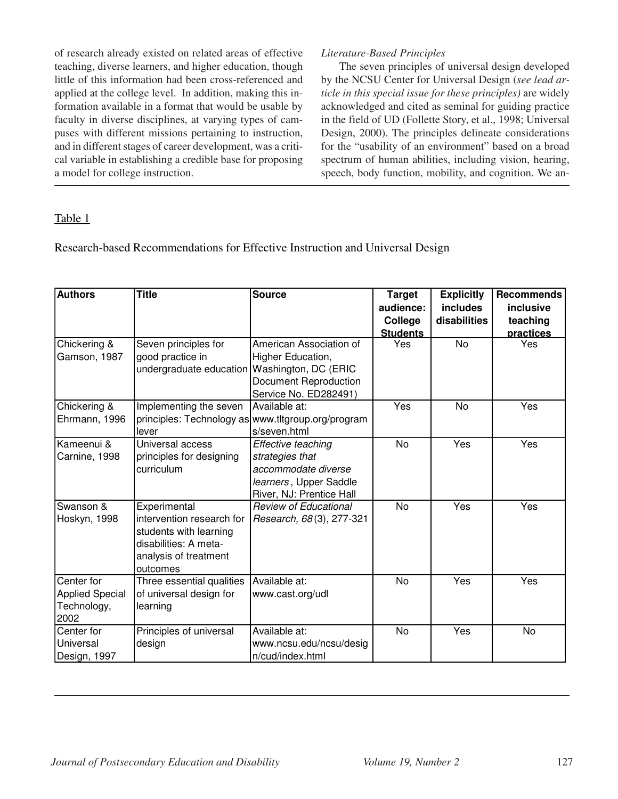of research already existed on related areas of effective teaching, diverse learners, and higher education, though little of this information had been cross-referenced and applied at the college level. In addition, making this information available in a format that would be usable by faculty in diverse disciplines, at varying types of campuses with different missions pertaining to instruction, and in different stages of career development, was a critical variable in establishing a credible base for proposing a model for college instruction.

## *Literature-Based Principles*

The seven principles of universal design developed by the NCSU Center for Universal Design (*see lead article in this special issue for these principles)* are widely acknowledged and cited as seminal for guiding practice in the field of UD (Follette Story, et al., 1998; Universal Design, 2000). The principles delineate considerations for the "usability of an environment" based on a broad spectrum of human abilities, including vision, hearing, speech, body function, mobility, and cognition. We an-

## Table 1

Research-based Recommendations for Effective Instruction and Universal Design

| <b>Authors</b>         | <b>Title</b>                                   | <b>Source</b>                                      | <b>Target</b>   | <b>Explicitly</b> | <b>Recommends</b> |
|------------------------|------------------------------------------------|----------------------------------------------------|-----------------|-------------------|-------------------|
|                        |                                                |                                                    | audience:       | <b>includes</b>   | inclusive         |
|                        |                                                |                                                    | College         | disabilities      | teaching          |
|                        |                                                |                                                    | <b>Students</b> |                   | practices         |
| Chickering &           | Seven principles for                           | American Association of                            | Yes             | <b>No</b>         | Yes               |
| Gamson, 1987           | good practice in                               | Higher Education,                                  |                 |                   |                   |
|                        | undergraduate education   Washington, DC (ERIC |                                                    |                 |                   |                   |
|                        |                                                | <b>Document Reproduction</b>                       |                 |                   |                   |
|                        |                                                | Service No. ED282491)                              |                 |                   |                   |
| Chickering &           | Implementing the seven                         | Available at:                                      | Yes             | <b>No</b>         | Yes               |
| Ehrmann, 1996          |                                                | principles: Technology as www.tltgroup.org/program |                 |                   |                   |
|                        | lever                                          | s/seven.html                                       |                 |                   |                   |
| Kameenui &             | Universal access                               | Effective teaching                                 | <b>No</b>       | Yes               | Yes               |
| Carnine, 1998          | principles for designing                       | strategies that                                    |                 |                   |                   |
|                        | curriculum                                     | accommodate diverse                                |                 |                   |                   |
|                        |                                                | learners, Upper Saddle                             |                 |                   |                   |
|                        |                                                | River, NJ: Prentice Hall                           |                 |                   |                   |
| Swanson &              | Experimental                                   | <b>Review of Educational</b>                       | No              | Yes               | Yes               |
| Hoskyn, 1998           | intervention research for                      | Research, 68(3), 277-321                           |                 |                   |                   |
|                        | students with learning                         |                                                    |                 |                   |                   |
|                        | disabilities: A meta-                          |                                                    |                 |                   |                   |
|                        | analysis of treatment                          |                                                    |                 |                   |                   |
|                        | outcomes                                       |                                                    |                 |                   |                   |
| Center for             | Three essential qualities                      | Available at:                                      | No              | Yes               | Yes               |
| <b>Applied Special</b> | of universal design for                        | www.cast.org/udl                                   |                 |                   |                   |
| Technology,            | learning                                       |                                                    |                 |                   |                   |
| 2002                   |                                                |                                                    |                 |                   |                   |
| Center for             | Principles of universal                        | Available at:                                      | <b>No</b>       | Yes               | No                |
| Universal              | design                                         | www.ncsu.edu/ncsu/desig                            |                 |                   |                   |
| Design, 1997           |                                                | n/cud/index.html                                   |                 |                   |                   |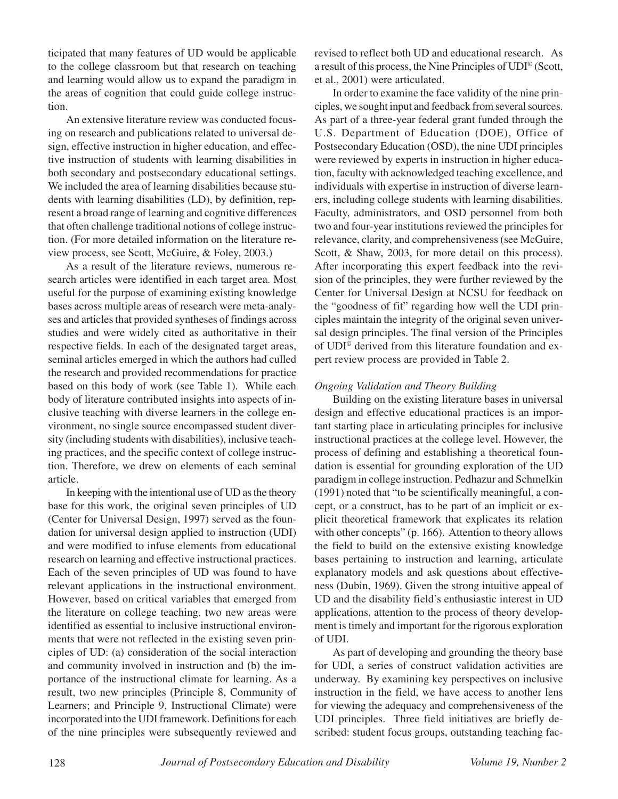ticipated that many features of UD would be applicable to the college classroom but that research on teaching and learning would allow us to expand the paradigm in the areas of cognition that could guide college instruction.

An extensive literature review was conducted focusing on research and publications related to universal design, effective instruction in higher education, and effective instruction of students with learning disabilities in both secondary and postsecondary educational settings. We included the area of learning disabilities because students with learning disabilities (LD), by definition, represent a broad range of learning and cognitive differences that often challenge traditional notions of college instruction. (For more detailed information on the literature review process, see Scott, McGuire, & Foley, 2003.)

As a result of the literature reviews, numerous research articles were identified in each target area. Most useful for the purpose of examining existing knowledge bases across multiple areas of research were meta-analyses and articles that provided syntheses of findings across studies and were widely cited as authoritative in their respective fields. In each of the designated target areas, seminal articles emerged in which the authors had culled the research and provided recommendations for practice based on this body of work (see Table 1). While each body of literature contributed insights into aspects of inclusive teaching with diverse learners in the college environment, no single source encompassed student diversity (including students with disabilities), inclusive teaching practices, and the specific context of college instruction. Therefore, we drew on elements of each seminal article.

In keeping with the intentional use of UD as the theory base for this work, the original seven principles of UD (Center for Universal Design, 1997) served as the foundation for universal design applied to instruction (UDI) and were modified to infuse elements from educational research on learning and effective instructional practices. Each of the seven principles of UD was found to have relevant applications in the instructional environment. However, based on critical variables that emerged from the literature on college teaching, two new areas were identified as essential to inclusive instructional environments that were not reflected in the existing seven principles of UD: (a) consideration of the social interaction and community involved in instruction and (b) the importance of the instructional climate for learning. As a result, two new principles (Principle 8, Community of Learners; and Principle 9, Instructional Climate) were incorporated into the UDI framework. Definitions for each of the nine principles were subsequently reviewed and

revised to reflect both UD and educational research. As a result of this process, the Nine Principles of UDI© (Scott, et al., 2001) were articulated.

In order to examine the face validity of the nine principles, we sought input and feedback from several sources. As part of a three-year federal grant funded through the U.S. Department of Education (DOE), Office of Postsecondary Education (OSD), the nine UDI principles were reviewed by experts in instruction in higher education, faculty with acknowledged teaching excellence, and individuals with expertise in instruction of diverse learners, including college students with learning disabilities. Faculty, administrators, and OSD personnel from both two and four-year institutions reviewed the principles for relevance, clarity, and comprehensiveness (see McGuire, Scott, & Shaw, 2003, for more detail on this process). After incorporating this expert feedback into the revision of the principles, they were further reviewed by the Center for Universal Design at NCSU for feedback on the "goodness of fit" regarding how well the UDI principles maintain the integrity of the original seven universal design principles. The final version of the Principles of UDI© derived from this literature foundation and expert review process are provided in Table 2.

#### *Ongoing Validation and Theory Building*

Building on the existing literature bases in universal design and effective educational practices is an important starting place in articulating principles for inclusive instructional practices at the college level. However, the process of defining and establishing a theoretical foundation is essential for grounding exploration of the UD paradigm in college instruction. Pedhazur and Schmelkin (1991) noted that "to be scientifically meaningful, a concept, or a construct, has to be part of an implicit or explicit theoretical framework that explicates its relation with other concepts" (p. 166). Attention to theory allows the field to build on the extensive existing knowledge bases pertaining to instruction and learning, articulate explanatory models and ask questions about effectiveness (Dubin, 1969). Given the strong intuitive appeal of UD and the disability field's enthusiastic interest in UD applications, attention to the process of theory development is timely and important for the rigorous exploration of UDI.

As part of developing and grounding the theory base for UDI, a series of construct validation activities are underway. By examining key perspectives on inclusive instruction in the field, we have access to another lens for viewing the adequacy and comprehensiveness of the UDI principles. Three field initiatives are briefly described: student focus groups, outstanding teaching fac-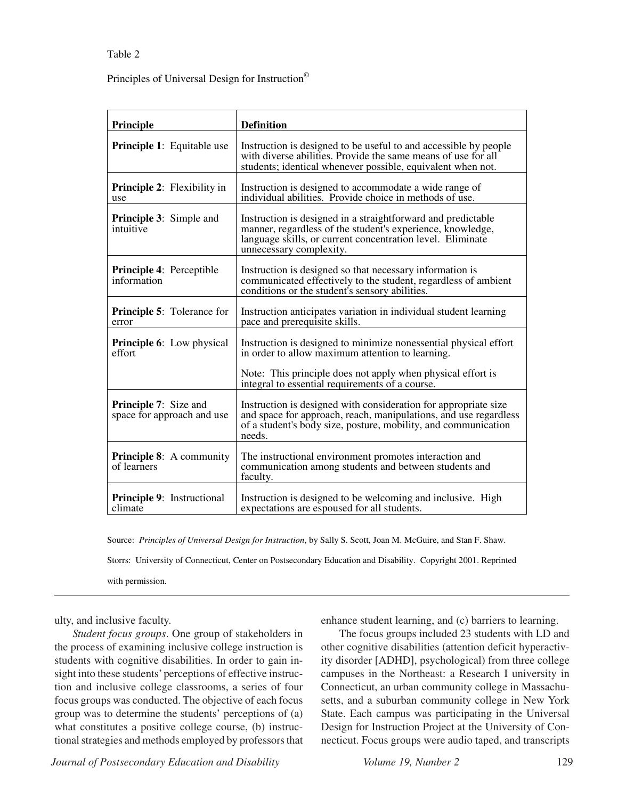#### Table 2

Principles of Universal Design for Instruction©

| Principle                                                  | <b>Definition</b>                                                                                                                                                                                                   |
|------------------------------------------------------------|---------------------------------------------------------------------------------------------------------------------------------------------------------------------------------------------------------------------|
| <b>Principle 1:</b> Equitable use                          | Instruction is designed to be useful to and accessible by people<br>with diverse abilities. Provide the same means of use for all<br>students; identical whenever possible, equivalent when not.                    |
| <b>Principle 2:</b> Flexibility in<br>use                  | Instruction is designed to accommodate a wide range of<br>individual abilities. Provide choice in methods of use.                                                                                                   |
| <b>Principle 3:</b> Simple and<br>intuitive                | Instruction is designed in a straightforward and predictable<br>manner, regardless of the student's experience, knowledge,<br>language skills, or current concentration level. Eliminate<br>unnecessary complexity. |
| <b>Principle 4: Perceptible</b><br>information             | Instruction is designed so that necessary information is<br>communicated effectively to the student, regardless of ambient<br>conditions or the student's sensory abilities.                                        |
| <b>Principle 5:</b> Tolerance for<br>error                 | Instruction anticipates variation in individual student learning<br>pace and prerequisite skills.                                                                                                                   |
| <b>Principle 6:</b> Low physical<br>effort                 | Instruction is designed to minimize nonessential physical effort<br>in order to allow maximum attention to learning.                                                                                                |
|                                                            | Note: This principle does not apply when physical effort is<br>integral to essential requirements of a course.                                                                                                      |
| <b>Principle 7:</b> Size and<br>space for approach and use | Instruction is designed with consideration for appropriate size<br>and space for approach, reach, manipulations, and use regardless<br>of a student's body size, posture, mobility, and communication<br>needs.     |
| <b>Principle 8:</b> A community<br>of learners             | The instructional environment promotes interaction and<br>communication among students and between students and<br>faculty.                                                                                         |
| <b>Principle 9:</b> Instructional<br>climate               | Instruction is designed to be welcoming and inclusive. High<br>expectations are espoused for all students.                                                                                                          |

Source: *Principles of Universal Design for Instruction*, by Sally S. Scott, Joan M. McGuire, and Stan F. Shaw.

Storrs: University of Connecticut, Center on Postsecondary Education and Disability. Copyright 2001. Reprinted

with permission.

ulty, and inclusive faculty.

*Student focus groups*. One group of stakeholders in the process of examining inclusive college instruction is students with cognitive disabilities. In order to gain insight into these students' perceptions of effective instruction and inclusive college classrooms, a series of four focus groups was conducted. The objective of each focus group was to determine the students' perceptions of (a) what constitutes a positive college course, (b) instructional strategies and methods employed by professors that enhance student learning, and (c) barriers to learning.

The focus groups included 23 students with LD and other cognitive disabilities (attention deficit hyperactivity disorder [ADHD], psychological) from three college campuses in the Northeast: a Research I university in Connecticut, an urban community college in Massachusetts, and a suburban community college in New York State. Each campus was participating in the Universal Design for Instruction Project at the University of Connecticut. Focus groups were audio taped, and transcripts

*Journal of Postsecondary Education and Disability* Volume 19, Number 2 129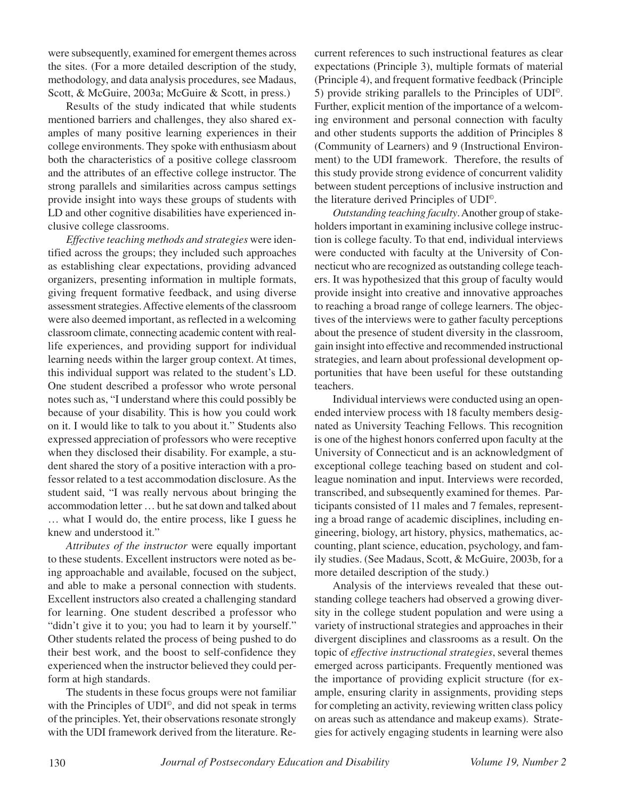were subsequently, examined for emergent themes across the sites. (For a more detailed description of the study, methodology, and data analysis procedures, see Madaus, Scott, & McGuire, 2003a; McGuire & Scott, in press.)

Results of the study indicated that while students mentioned barriers and challenges, they also shared examples of many positive learning experiences in their college environments. They spoke with enthusiasm about both the characteristics of a positive college classroom and the attributes of an effective college instructor. The strong parallels and similarities across campus settings provide insight into ways these groups of students with LD and other cognitive disabilities have experienced inclusive college classrooms.

*Effective teaching methods and strategies* were identified across the groups; they included such approaches as establishing clear expectations, providing advanced organizers, presenting information in multiple formats, giving frequent formative feedback, and using diverse assessment strategies. Affective elements of the classroom were also deemed important, as reflected in a welcoming classroom climate, connecting academic content with reallife experiences, and providing support for individual learning needs within the larger group context. At times, this individual support was related to the student's LD. One student described a professor who wrote personal notes such as, "I understand where this could possibly be because of your disability. This is how you could work on it. I would like to talk to you about it." Students also expressed appreciation of professors who were receptive when they disclosed their disability. For example, a student shared the story of a positive interaction with a professor related to a test accommodation disclosure. As the student said, "I was really nervous about bringing the accommodation letter … but he sat down and talked about … what I would do, the entire process, like I guess he knew and understood it."

*Attributes of the instructor* were equally important to these students. Excellent instructors were noted as being approachable and available, focused on the subject, and able to make a personal connection with students. Excellent instructors also created a challenging standard for learning. One student described a professor who "didn't give it to you; you had to learn it by yourself." Other students related the process of being pushed to do their best work, and the boost to self-confidence they experienced when the instructor believed they could perform at high standards.

The students in these focus groups were not familiar with the Principles of UDI<sup>©</sup>, and did not speak in terms of the principles. Yet, their observations resonate strongly with the UDI framework derived from the literature. Re-

current references to such instructional features as clear expectations (Principle 3), multiple formats of material (Principle 4), and frequent formative feedback (Principle 5) provide striking parallels to the Principles of UDI©. Further, explicit mention of the importance of a welcoming environment and personal connection with faculty and other students supports the addition of Principles 8 (Community of Learners) and 9 (Instructional Environment) to the UDI framework. Therefore, the results of this study provide strong evidence of concurrent validity between student perceptions of inclusive instruction and the literature derived Principles of UDI©.

*Outstanding teaching faculty*. Another group of stakeholders important in examining inclusive college instruction is college faculty. To that end, individual interviews were conducted with faculty at the University of Connecticut who are recognized as outstanding college teachers. It was hypothesized that this group of faculty would provide insight into creative and innovative approaches to reaching a broad range of college learners. The objectives of the interviews were to gather faculty perceptions about the presence of student diversity in the classroom, gain insight into effective and recommended instructional strategies, and learn about professional development opportunities that have been useful for these outstanding teachers.

Individual interviews were conducted using an openended interview process with 18 faculty members designated as University Teaching Fellows. This recognition is one of the highest honors conferred upon faculty at the University of Connecticut and is an acknowledgment of exceptional college teaching based on student and colleague nomination and input. Interviews were recorded, transcribed, and subsequently examined for themes. Participants consisted of 11 males and 7 females, representing a broad range of academic disciplines, including engineering, biology, art history, physics, mathematics, accounting, plant science, education, psychology, and family studies. (See Madaus, Scott, & McGuire, 2003b, for a more detailed description of the study.)

Analysis of the interviews revealed that these outstanding college teachers had observed a growing diversity in the college student population and were using a variety of instructional strategies and approaches in their divergent disciplines and classrooms as a result. On the topic of *effective instructional strategies*, several themes emerged across participants. Frequently mentioned was the importance of providing explicit structure (for example, ensuring clarity in assignments, providing steps for completing an activity, reviewing written class policy on areas such as attendance and makeup exams). Strategies for actively engaging students in learning were also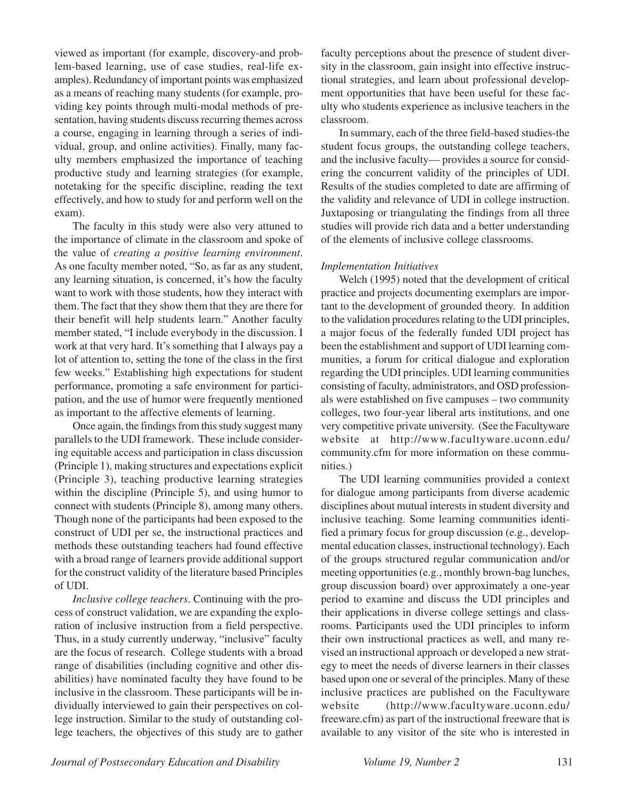viewed as important (for example, discovery-and problem-based learning, use of case studies, real-life examples). Redundancy of important points was emphasized as a means of reaching many students (for example, providing key points through multi-modal methods of presentation, having students discuss recurring themes across a course, engaging in learning through a series of individual, group, and online activities). Finally, many faculty members emphasized the importance of teaching productive study and learning strategies (for example, notetaking for the specific discipline, reading the text effectively, and how to study for and perform well on the exam).

The faculty in this study were also very attuned to the importance of climate in the classroom and spoke of the value of *creating a positive learning environment*. As one faculty member noted, "So, as far as any student, any learning situation, is concerned, it's how the faculty want to work with those students, how they interact with them. The fact that they show them that they are there for their benefit will help students learn." Another faculty member stated, "I include everybody in the discussion. I work at that very hard. It's something that I always pay a lot of attention to, setting the tone of the class in the first few weeks." Establishing high expectations for student performance, promoting a safe environment for participation, and the use of humor were frequently mentioned as important to the affective elements of learning.

Once again, the findings from this study suggest many parallels to the UDI framework. These include considering equitable access and participation in class discussion (Principle 1), making structures and expectations explicit (Principle 3), teaching productive learning strategies within the discipline (Principle 5), and using humor to connect with students (Principle 8), among many others. Though none of the participants had been exposed to the construct of UDI per se, the instructional practices and methods these outstanding teachers had found effective with a broad range of learners provide additional support for the construct validity of the literature based Principles of UDI.

*Inclusive college teachers*. Continuing with the process of construct validation, we are expanding the exploration of inclusive instruction from a field perspective. Thus, in a study currently underway, "inclusive" faculty are the focus of research. College students with a broad range of disabilities (including cognitive and other disabilities) have nominated faculty they have found to be inclusive in the classroom. These participants will be individually interviewed to gain their perspectives on college instruction. Similar to the study of outstanding college teachers, the objectives of this study are to gather faculty perceptions about the presence of student diversity in the classroom, gain insight into effective instructional strategies, and learn about professional development opportunities that have been useful for these faculty who students experience as inclusive teachers in the classroom.

In summary, each of the three field-based studies-the student focus groups, the outstanding college teachers, and the inclusive faculty— provides a source for considering the concurrent validity of the principles of UDI. Results of the studies completed to date are affirming of the validity and relevance of UDI in college instruction. Juxtaposing or triangulating the findings from all three studies will provide rich data and a better understanding of the elements of inclusive college classrooms.

#### *Implementation Initiatives*

Welch (1995) noted that the development of critical practice and projects documenting exemplars are important to the development of grounded theory. In addition to the validation procedures relating to the UDI principles, a major focus of the federally funded UDI project has been the establishment and support of UDI learning communities, a forum for critical dialogue and exploration regarding the UDI principles. UDI learning communities consisting of faculty, administrators, and OSD professionals were established on five campuses – two community colleges, two four-year liberal arts institutions, and one very competitive private university. (See the Facultyware website at http://www.facultyware.uconn.edu/ community.cfm for more information on these communities.)

The UDI learning communities provided a context for dialogue among participants from diverse academic disciplines about mutual interests in student diversity and inclusive teaching. Some learning communities identified a primary focus for group discussion (e.g., developmental education classes, instructional technology). Each of the groups structured regular communication and/or meeting opportunities (e.g., monthly brown-bag lunches, group discussion board) over approximately a one-year period to examine and discuss the UDI principles and their applications in diverse college settings and classrooms. Participants used the UDI principles to inform their own instructional practices as well, and many revised an instructional approach or developed a new strategy to meet the needs of diverse learners in their classes based upon one or several of the principles. Many of these inclusive practices are published on the Facultyware website (http://www.facultyware.uconn.edu/ freeware.cfm) as part of the instructional freeware that is available to any visitor of the site who is interested in

*Journal of Postsecondary Education and Disability Volume 19, Number 2* 131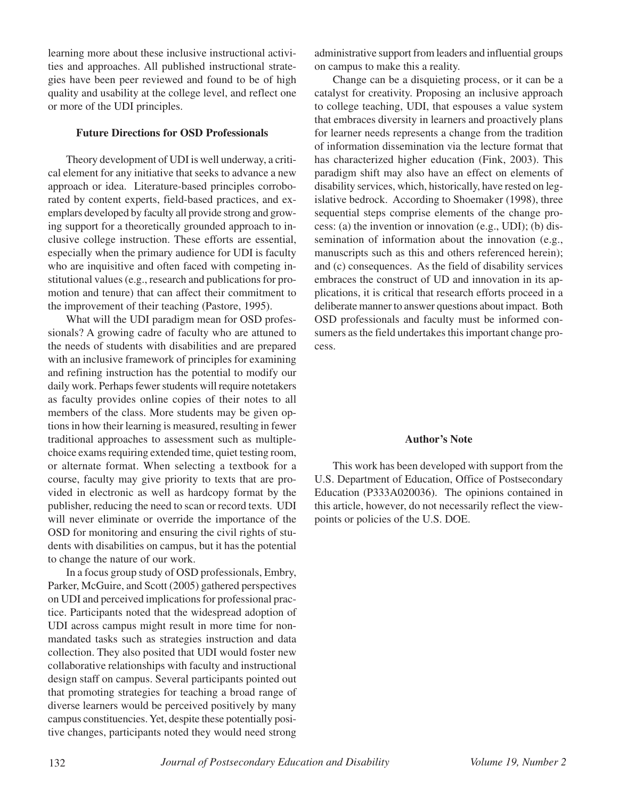learning more about these inclusive instructional activities and approaches. All published instructional strategies have been peer reviewed and found to be of high quality and usability at the college level, and reflect one or more of the UDI principles.

### **Future Directions for OSD Professionals**

Theory development of UDI is well underway, a critical element for any initiative that seeks to advance a new approach or idea. Literature-based principles corroborated by content experts, field-based practices, and exemplars developed by faculty all provide strong and growing support for a theoretically grounded approach to inclusive college instruction. These efforts are essential, especially when the primary audience for UDI is faculty who are inquisitive and often faced with competing institutional values (e.g., research and publications for promotion and tenure) that can affect their commitment to the improvement of their teaching (Pastore, 1995).

What will the UDI paradigm mean for OSD professionals? A growing cadre of faculty who are attuned to the needs of students with disabilities and are prepared with an inclusive framework of principles for examining and refining instruction has the potential to modify our daily work. Perhaps fewer students will require notetakers as faculty provides online copies of their notes to all members of the class. More students may be given options in how their learning is measured, resulting in fewer traditional approaches to assessment such as multiplechoice exams requiring extended time, quiet testing room, or alternate format. When selecting a textbook for a course, faculty may give priority to texts that are provided in electronic as well as hardcopy format by the publisher, reducing the need to scan or record texts. UDI will never eliminate or override the importance of the OSD for monitoring and ensuring the civil rights of students with disabilities on campus, but it has the potential to change the nature of our work.

In a focus group study of OSD professionals, Embry, Parker, McGuire, and Scott (2005) gathered perspectives on UDI and perceived implications for professional practice. Participants noted that the widespread adoption of UDI across campus might result in more time for nonmandated tasks such as strategies instruction and data collection. They also posited that UDI would foster new collaborative relationships with faculty and instructional design staff on campus. Several participants pointed out that promoting strategies for teaching a broad range of diverse learners would be perceived positively by many campus constituencies. Yet, despite these potentially positive changes, participants noted they would need strong

administrative support from leaders and influential groups on campus to make this a reality.

Change can be a disquieting process, or it can be a catalyst for creativity. Proposing an inclusive approach to college teaching, UDI, that espouses a value system that embraces diversity in learners and proactively plans for learner needs represents a change from the tradition of information dissemination via the lecture format that has characterized higher education (Fink, 2003). This paradigm shift may also have an effect on elements of disability services, which, historically, have rested on legislative bedrock. According to Shoemaker (1998), three sequential steps comprise elements of the change process: (a) the invention or innovation (e.g., UDI); (b) dissemination of information about the innovation (e.g., manuscripts such as this and others referenced herein); and (c) consequences. As the field of disability services embraces the construct of UD and innovation in its applications, it is critical that research efforts proceed in a deliberate manner to answer questions about impact. Both OSD professionals and faculty must be informed consumers as the field undertakes this important change process.

## **Author's Note**

This work has been developed with support from the U.S. Department of Education, Office of Postsecondary Education (P333A020036). The opinions contained in this article, however, do not necessarily reflect the viewpoints or policies of the U.S. DOE.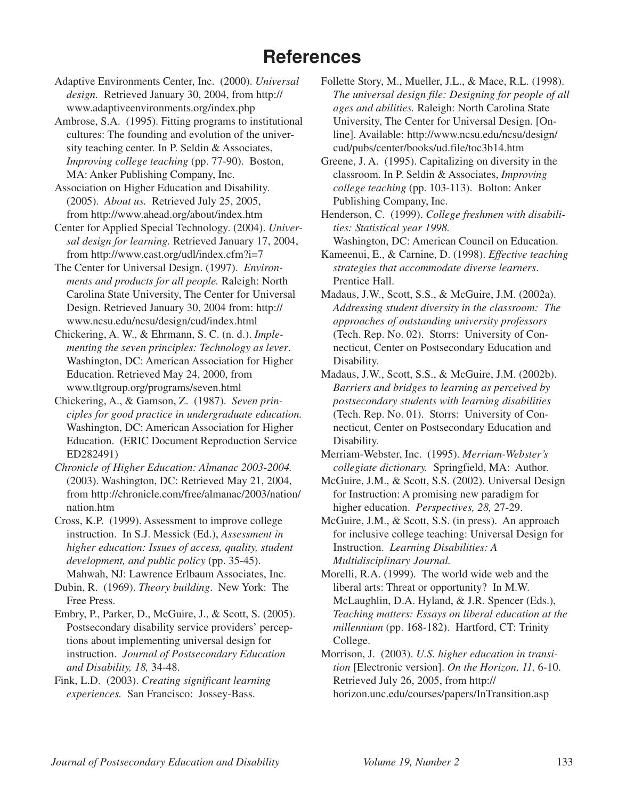## **References**

Adaptive Environments Center, Inc. (2000). *Universal design.* Retrieved January 30, 2004, from http:// www.adaptiveenvironments.org/index.php

Ambrose, S.A. (1995). Fitting programs to institutional cultures: The founding and evolution of the university teaching center. In P. Seldin & Associates, *Improving college teaching* (pp. 77-90). Boston, MA: Anker Publishing Company, Inc.

Association on Higher Education and Disability. (2005). *About us.* Retrieved July 25, 2005, from http://www.ahead.org/about/index.htm

Center for Applied Special Technology. (2004). *Universal design for learning.* Retrieved January 17, 2004, from http://www.cast.org/udl/index.cfm?i=7

The Center for Universal Design. (1997). *Environments and products for all people.* Raleigh: North Carolina State University, The Center for Universal Design. Retrieved January 30, 2004 from: http:// www.ncsu.edu/ncsu/design/cud/index.html

Chickering, A. W., & Ehrmann, S. C. (n. d.). *Implementing the seven principles: Technology as lever*. Washington, DC: American Association for Higher Education. Retrieved May 24, 2000, from www.tltgroup.org/programs/seven.html

Chickering, A., & Gamson, Z. (1987). *Seven principles for good practice in undergraduate education.* Washington, DC: American Association for Higher Education. (ERIC Document Reproduction Service ED282491)

*Chronicle of Higher Education: Almanac 2003-2004.* (2003). Washington, DC: Retrieved May 21, 2004, from http://chronicle.com/free/almanac/2003/nation/ nation.htm

Cross, K.P. (1999). Assessment to improve college instruction. In S.J. Messick (Ed.), *Assessment in higher education: Issues of access, quality, student development, and public policy* (pp. 35-45). Mahwah, NJ: Lawrence Erlbaum Associates, Inc.

Dubin, R. (1969). *Theory building*. New York: The Free Press.

Embry, P., Parker, D., McGuire, J., & Scott, S. (2005). Postsecondary disability service providers' perceptions about implementing universal design for instruction. *Journal of Postsecondary Education and Disability, 18,* 34-48.

Fink, L.D. (2003). *Creating significant learning experiences.* San Francisco: Jossey-Bass.

Follette Story, M., Mueller, J.L., & Mace, R.L. (1998). *The universal design file: Designing for people of all ages and abilities.* Raleigh: North Carolina State University, The Center for Universal Design. [Online]. Available: http://www.ncsu.edu/ncsu/design/ cud/pubs/center/books/ud.file/toc3b14.htm

Greene, J. A. (1995). Capitalizing on diversity in the classroom. In P. Seldin & Associates, *Improving college teaching* (pp. 103-113). Bolton: Anker Publishing Company, Inc.

Henderson, C. (1999). *College freshmen with disabilities: Statistical year 1998.* Washington, DC: American Council on Education.

Kameenui, E., & Carnine, D. (1998). *Effective teaching strategies that accommodate diverse learners*. Prentice Hall.

Madaus, J.W., Scott, S.S., & McGuire, J.M. (2002a). *Addressing student diversity in the classroom: The approaches of outstanding university professors* (Tech. Rep. No. 02). Storrs: University of Connecticut, Center on Postsecondary Education and Disability.

Madaus, J.W., Scott, S.S., & McGuire, J.M. (2002b). *Barriers and bridges to learning as perceived by postsecondary students with learning disabilities* (Tech. Rep. No. 01). Storrs: University of Connecticut, Center on Postsecondary Education and Disability.

Merriam-Webster, Inc. (1995). *Merriam-Webster's collegiate dictionary.* Springfield, MA: Author.

McGuire, J.M., & Scott, S.S. (2002). Universal Design for Instruction: A promising new paradigm for higher education. *Perspectives, 28,* 27-29.

McGuire, J.M., & Scott, S.S. (in press). An approach for inclusive college teaching: Universal Design for Instruction. *Learning Disabilities: A Multidisciplinary Journal.*

Morelli, R.A. (1999). The world wide web and the liberal arts: Threat or opportunity? In M.W. McLaughlin, D.A. Hyland, & J.R. Spencer (Eds.), *Teaching matters: Essays on liberal education at the millennium* (pp. 168-182).Hartford, CT: Trinity College.

Morrison, J. (2003). *U.S. higher education in transition* [Electronic version]. *On the Horizon, 11,* 6-10. Retrieved July 26, 2005, from http:// horizon.unc.edu/courses/papers/InTransition.asp